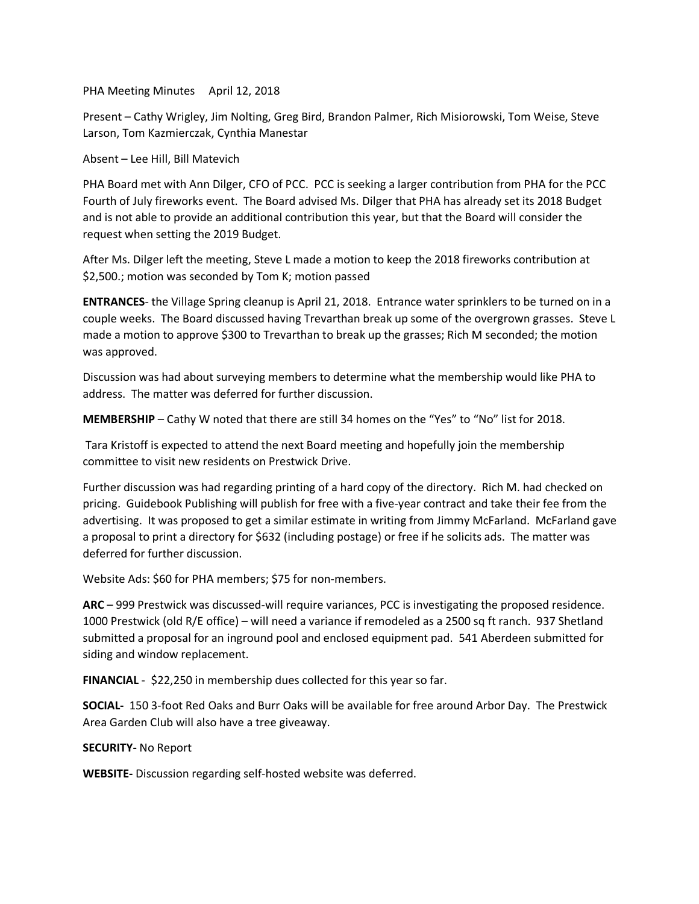PHA Meeting Minutes April 12, 2018

Present – Cathy Wrigley, Jim Nolting, Greg Bird, Brandon Palmer, Rich Misiorowski, Tom Weise, Steve Larson, Tom Kazmierczak, Cynthia Manestar

Absent – Lee Hill, Bill Matevich

PHA Board met with Ann Dilger, CFO of PCC. PCC is seeking a larger contribution from PHA for the PCC Fourth of July fireworks event. The Board advised Ms. Dilger that PHA has already set its 2018 Budget and is not able to provide an additional contribution this year, but that the Board will consider the request when setting the 2019 Budget.

After Ms. Dilger left the meeting, Steve L made a motion to keep the 2018 fireworks contribution at \$2,500.; motion was seconded by Tom K; motion passed

**ENTRANCES**- the Village Spring cleanup is April 21, 2018. Entrance water sprinklers to be turned on in a couple weeks. The Board discussed having Trevarthan break up some of the overgrown grasses. Steve L made a motion to approve \$300 to Trevarthan to break up the grasses; Rich M seconded; the motion was approved.

Discussion was had about surveying members to determine what the membership would like PHA to address. The matter was deferred for further discussion.

**MEMBERSHIP** – Cathy W noted that there are still 34 homes on the "Yes" to "No" list for 2018.

Tara Kristoff is expected to attend the next Board meeting and hopefully join the membership committee to visit new residents on Prestwick Drive.

Further discussion was had regarding printing of a hard copy of the directory. Rich M. had checked on pricing. Guidebook Publishing will publish for free with a five-year contract and take their fee from the advertising. It was proposed to get a similar estimate in writing from Jimmy McFarland. McFarland gave a proposal to print a directory for \$632 (including postage) or free if he solicits ads. The matter was deferred for further discussion.

Website Ads: \$60 for PHA members; \$75 for non-members.

**ARC** – 999 Prestwick was discussed-will require variances, PCC is investigating the proposed residence. 1000 Prestwick (old R/E office) – will need a variance if remodeled as a 2500 sq ft ranch. 937 Shetland submitted a proposal for an inground pool and enclosed equipment pad. 541 Aberdeen submitted for siding and window replacement.

**FINANCIAL** - \$22,250 in membership dues collected for this year so far.

**SOCIAL-** 150 3-foot Red Oaks and Burr Oaks will be available for free around Arbor Day. The Prestwick Area Garden Club will also have a tree giveaway.

## **SECURITY-** No Report

**WEBSITE-** Discussion regarding self-hosted website was deferred.